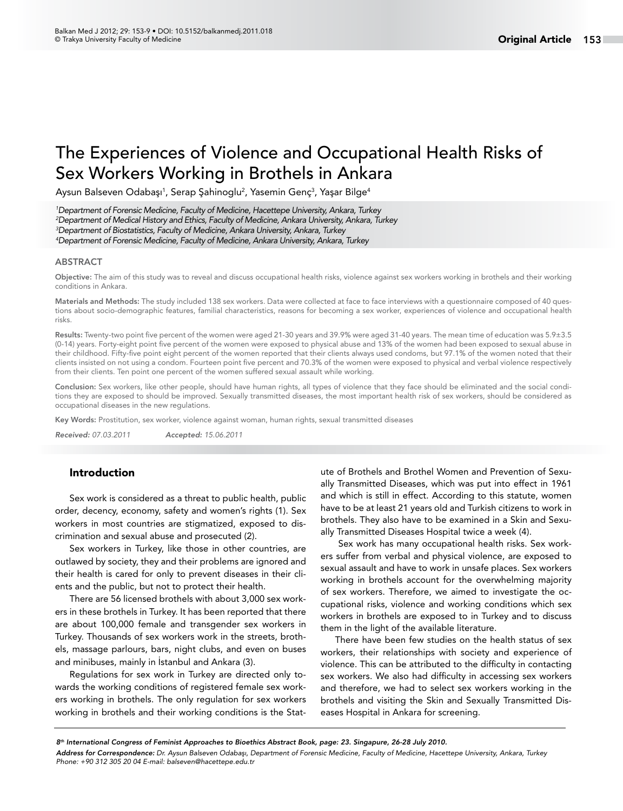# The Experiences of Violence and Occupational Health Risks of Sex Workers Working in Brothels in Ankara

Aysun Balseven Odabaşı<sup>1</sup>, Serap Şahinoglu<sup>2</sup>, Yasemin Genç<sup>3</sup>, Yaşar Bilge<sup>4</sup>

 *Department of Forensic Medicine, Faculty of Medicine, Hacettepe University, Ankara, Turkey Department of Medical History and Ethics, Faculty of Medicine, Ankara University, Ankara, Turkey Department of Biostatistics, Faculty of Medicine, Ankara University, Ankara, Turkey Department of Forensic Medicine, Faculty of Medicine, Ankara University, Ankara, Turkey*

#### ABSTRACT

Objective: The aim of this study was to reveal and discuss occupational health risks, violence against sex workers working in brothels and their working conditions in Ankara.

Materials and Methods: The study included 138 sex workers. Data were collected at face to face interviews with a questionnaire composed of 40 questions about socio-demographic features, familial characteristics, reasons for becoming a sex worker, experiences of violence and occupational health risks.

Results: Twenty-two point five percent of the women were aged 21-30 years and 39.9% were aged 31-40 years. The mean time of education was 5.9±3.5 (0-14) years. Forty-eight point five percent of the women were exposed to physical abuse and 13% of the women had been exposed to sexual abuse in their childhood. Fifty-five point eight percent of the women reported that their clients always used condoms, but 97.1% of the women noted that their clients insisted on not using a condom. Fourteen point five percent and 70.3% of the women were exposed to physical and verbal violence respectively from their clients. Ten point one percent of the women suffered sexual assault while working.

Conclusion: Sex workers, like other people, should have human rights, all types of violence that they face should be eliminated and the social conditions they are exposed to should be improved. Sexually transmitted diseases, the most important health risk of sex workers, should be considered as occupational diseases in the new regulations.

Key Words: Prostitution, sex worker, violence against woman, human rights, sexual transmitted diseases

*Received: 07.03.2011 Accepted: 15.06.2011*

# Introduction

Sex work is considered as a threat to public health, public order, decency, economy, safety and women's rights (1). Sex workers in most countries are stigmatized, exposed to discrimination and sexual abuse and prosecuted (2).

Sex workers in Turkey, like those in other countries, are outlawed by society, they and their problems are ignored and their health is cared for only to prevent diseases in their clients and the public, but not to protect their health.

There are 56 licensed brothels with about 3,000 sex workers in these brothels in Turkey. It has been reported that there are about 100,000 female and transgender sex workers in Turkey. Thousands of sex workers work in the streets, brothels, massage parlours, bars, night clubs, and even on buses and minibuses, mainly in İstanbul and Ankara (3).

Regulations for sex work in Turkey are directed only towards the working conditions of registered female sex workers working in brothels. The only regulation for sex workers working in brothels and their working conditions is the Statute of Brothels and Brothel Women and Prevention of Sexually Transmitted Diseases, which was put into effect in 1961 and which is still in effect. According to this statute, women have to be at least 21 years old and Turkish citizens to work in brothels. They also have to be examined in a Skin and Sexually Transmitted Diseases Hospital twice a week [\(4](http://www.mevzuat.adalet.gov.tr/html/5189.html)).

 Sex work has many occupational health risks. Sex workers suffer from verbal and physical violence, are exposed to sexual assault and have to work in unsafe places. Sex workers working in brothels account for the overwhelming majority of sex workers. Therefore, we aimed to investigate the occupational risks, violence and working conditions which sex workers in brothels are exposed to in Turkey and to discuss them in the light of the available literature.

There have been few studies on the health status of sex workers, their relationships with society and experience of violence. This can be attributed to the difficulty in contacting sex workers. We also had difficulty in accessing sex workers and therefore, we had to select sex workers working in the brothels and visiting the Skin and Sexually Transmitted Diseases Hospital in Ankara for screening.

*8th International Congress of Feminist Approaches to Bioethics Abstract Book, page: 23. Singapure, 26-28 July 2010.*

*Address for Correspondence: Dr. Aysun Balseven Odabaşı, Department of Forensic Medicine, Faculty of Medicine, Hacettepe University, Ankara, Turkey Phone: +90 312 305 20 04 E-mail: balseven@hacettepe.edu.tr*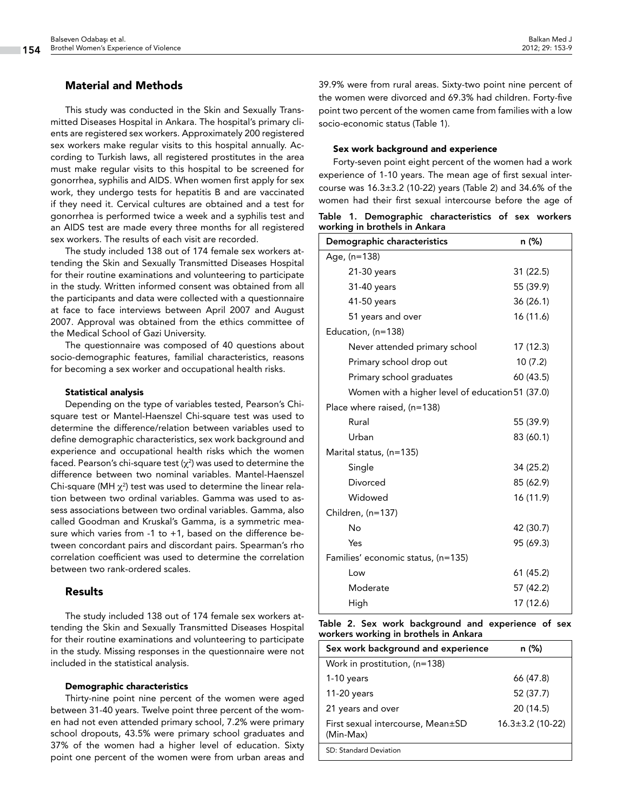# Material and Methods

This study was conducted in the Skin and Sexually Transmitted Diseases Hospital in Ankara. The hospital's primary clients are registered sex workers. Approximately 200 registered sex workers make regular visits to this hospital annually. According to Turkish laws, all registered prostitutes in the area must make regular visits to this hospital to be screened for gonorrhea, syphilis and AIDS. When women first apply for sex work, they undergo tests for hepatitis B and are vaccinated if they need it. Cervical cultures are obtained and a test for gonorrhea is performed twice a week and a syphilis test and an AIDS test are made every three months for all registered sex workers. The results of each visit are recorded.

The study included 138 out of 174 female sex workers attending the Skin and Sexually Transmitted Diseases Hospital for their routine examinations and volunteering to participate in the study. Written informed consent was obtained from all the participants and data were collected with a questionnaire at face to face interviews between April 2007 and August 2007. Approval was obtained from the ethics committee of the Medical School of Gazi University.

The questionnaire was composed of 40 questions about socio-demographic features, familial characteristics, reasons for becoming a sex worker and occupational health risks.

#### Statistical analysis

Depending on the type of variables tested, Pearson's Chisquare test or Mantel-Haenszel Chi-square test was used to determine the difference/relation between variables used to define demographic characteristics, sex work background and experience and occupational health risks which the women faced. Pearson's chi-square test ( $\chi^2$ ) was used to determine the difference between two nominal variables. Mantel-Haenszel Chi-square (MH  $\chi^2$ ) test was used to determine the linear relation between two ordinal variables. Gamma was used to assess associations between two ordinal variables. Gamma, also called Goodman and Kruskal's Gamma, is a symmetric measure which varies from -1 to +1, based on the difference between concordant pairs and discordant pairs. Spearman's rho correlation coefficient was used to determine the correlation between two rank-ordered scales.

## Results

The study included 138 out of 174 female sex workers attending the Skin and Sexually Transmitted Diseases Hospital for their routine examinations and volunteering to participate in the study. Missing responses in the questionnaire were not included in the statistical analysis.

#### Demographic characteristics

Thirty-nine point nine percent of the women were aged between 31-40 years. Twelve point three percent of the women had not even attended primary school, 7.2% were primary school dropouts, 43.5% were primary school graduates and 37% of the women had a higher level of education. Sixty point one percent of the women were from urban areas and 39.9% were from rural areas. Sixty-two point nine percent of the women were divorced and 69.3% had children. Forty-five point two percent of the women came from families with a low socio-economic status (Table 1).

#### Sex work background and experience

Forty-seven point eight percent of the women had a work experience of 1-10 years. The mean age of first sexual intercourse was 16.3±3.2 (10-22) years (Table 2) and 34.6% of the women had their first sexual intercourse before the age of

|  |                               | Table 1. Demographic characteristics of sex workers |  |  |
|--|-------------------------------|-----------------------------------------------------|--|--|
|  | working in brothels in Ankara |                                                     |  |  |

| Demographic characteristics                      | n (%)     |  |  |  |  |  |
|--------------------------------------------------|-----------|--|--|--|--|--|
| Age, (n=138)                                     |           |  |  |  |  |  |
| 21-30 years                                      | 31 (22.5) |  |  |  |  |  |
| 31-40 years                                      | 55 (39.9) |  |  |  |  |  |
| 41-50 years                                      | 36(26.1)  |  |  |  |  |  |
| 51 years and over                                | 16 (11.6) |  |  |  |  |  |
| Education, (n=138)                               |           |  |  |  |  |  |
| Never attended primary school                    | 17 (12.3) |  |  |  |  |  |
| Primary school drop out                          | 10(7.2)   |  |  |  |  |  |
| Primary school graduates                         | 60 (43.5) |  |  |  |  |  |
| Women with a higher level of education 51 (37.0) |           |  |  |  |  |  |
| Place where raised, (n=138)                      |           |  |  |  |  |  |
| Rural                                            | 55 (39.9) |  |  |  |  |  |
| Urban                                            | 83 (60.1) |  |  |  |  |  |
| Marital status, (n=135)                          |           |  |  |  |  |  |
| Single                                           | 34 (25.2) |  |  |  |  |  |
| Divorced                                         | 85 (62.9) |  |  |  |  |  |
| Widowed                                          | 16 (11.9) |  |  |  |  |  |
| Children, (n=137)                                |           |  |  |  |  |  |
| No                                               | 42 (30.7) |  |  |  |  |  |
| Yes                                              | 95 (69.3) |  |  |  |  |  |
| Families' economic status, (n=135)               |           |  |  |  |  |  |
| Low                                              | 61 (45.2) |  |  |  |  |  |
| Moderate                                         | 57 (42.2) |  |  |  |  |  |
| High                                             | 17 (12.6) |  |  |  |  |  |

Table 2. Sex work background and experience of sex workers working in brothels in Ankara

| Sex work background and experience             | n (%)                  |  |  |  |
|------------------------------------------------|------------------------|--|--|--|
| Work in prostitution, (n=138)                  |                        |  |  |  |
| $1-10$ years                                   | 66 (47.8)              |  |  |  |
| 11-20 years                                    | 52 (37.7)              |  |  |  |
| 21 years and over                              | 20(14.5)               |  |  |  |
| First sexual intercourse, Mean±SD<br>(Min-Max) | $16.3 \pm 3.2$ (10-22) |  |  |  |
| SD: Standard Deviation                         |                        |  |  |  |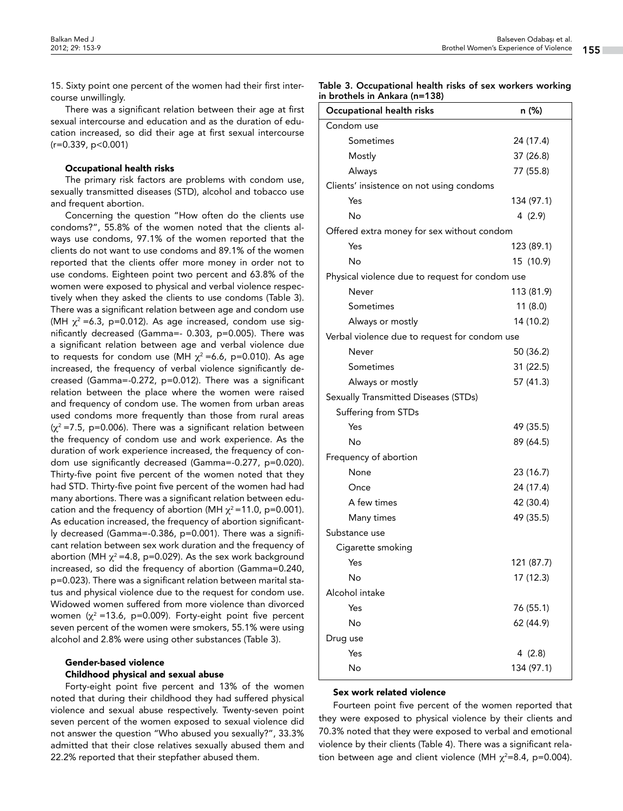15. Sixty point one percent of the women had their first intercourse unwillingly.

There was a significant relation between their age at first sexual intercourse and education and as the duration of education increased, so did their age at first sexual intercourse  $(r=0.339, p<0.001)$ 

#### Occupational health risks

The primary risk factors are problems with condom use, sexually transmitted diseases (STD), alcohol and tobacco use and frequent abortion.

Concerning the question "How often do the clients use condoms?", 55.8% of the women noted that the clients always use condoms, 97.1% of the women reported that the clients do not want to use condoms and 89.1% of the women reported that the clients offer more money in order not to use condoms. Eighteen point two percent and 63.8% of the women were exposed to physical and verbal violence respectively when they asked the clients to use condoms (Table 3). There was a significant relation between age and condom use (MH  $\chi^2$  =6.3, p=0.012). As age increased, condom use significantly decreased (Gamma=- 0.303, p=0.005). There was a significant relation between age and verbal violence due to requests for condom use (MH  $\chi^2$  =6.6, p=0.010). As age increased, the frequency of verbal violence significantly decreased (Gamma=-0.272, p=0.012). There was a significant relation between the place where the women were raised and frequency of condom use. The women from urban areas used condoms more frequently than those from rural areas  $(x^2 = 7.5, p=0.006)$ . There was a significant relation between the frequency of condom use and work experience. As the duration of work experience increased, the frequency of condom use significantly decreased (Gamma=-0.277, p=0.020). Thirty-five point five percent of the women noted that they had STD. Thirty-five point five percent of the women had had many abortions. There was a significant relation between education and the frequency of abortion (MH  $\chi^2$ =11.0, p=0.001). As education increased, the frequency of abortion significantly decreased (Gamma=-0.386, p=0.001). There was a significant relation between sex work duration and the frequency of abortion (MH  $\chi^2$  =4.8, p=0.029). As the sex work background increased, so did the frequency of abortion (Gamma=0.240, p=0.023). There was a significant relation between marital status and physical violence due to the request for condom use. Widowed women suffered from more violence than divorced women ( $\chi^2$  =13.6, p=0.009). Forty-eight point five percent seven percent of the women were smokers, 55.1% were using alcohol and 2.8% were using other substances (Table 3).

## Gender-based violence Childhood physical and sexual abuse

Forty-eight point five percent and 13% of the women noted that during their childhood they had suffered physical violence and sexual abuse respectively. Twenty-seven point seven percent of the women exposed to sexual violence did not answer the question "Who abused you sexually?", 33.3% admitted that their close relatives sexually abused them and 22.2% reported that their stepfather abused them.

Table 3. Occupational health risks of sex workers working in brothels in Ankara (n=138)

| Occupational health risks                       | n (%)      |  |  |  |  |  |
|-------------------------------------------------|------------|--|--|--|--|--|
| Condom use                                      |            |  |  |  |  |  |
| Sometimes                                       | 24 (17.4)  |  |  |  |  |  |
| Mostly                                          | 37 (26.8)  |  |  |  |  |  |
| Always                                          | 77 (55.8)  |  |  |  |  |  |
| Clients' insistence on not using condoms        |            |  |  |  |  |  |
| Yes                                             | 134 (97.1) |  |  |  |  |  |
| No                                              | 4 (2.9)    |  |  |  |  |  |
| Offered extra money for sex without condom      |            |  |  |  |  |  |
| Yes                                             | 123 (89.1) |  |  |  |  |  |
| No                                              | 15 (10.9)  |  |  |  |  |  |
| Physical violence due to request for condom use |            |  |  |  |  |  |
| Never                                           | 113 (81.9) |  |  |  |  |  |
| Sometimes                                       | 11(8.0)    |  |  |  |  |  |
| Always or mostly                                | 14 (10.2)  |  |  |  |  |  |
| Verbal violence due to request for condom use   |            |  |  |  |  |  |
| Never                                           | 50 (36.2)  |  |  |  |  |  |
| Sometimes                                       | 31 (22.5)  |  |  |  |  |  |
| Always or mostly                                | 57 (41.3)  |  |  |  |  |  |
| Sexually Transmitted Diseases (STDs)            |            |  |  |  |  |  |
| Suffering from STDs                             |            |  |  |  |  |  |
| Yes                                             | 49 (35.5)  |  |  |  |  |  |
| No                                              | 89 (64.5)  |  |  |  |  |  |
| Frequency of abortion                           |            |  |  |  |  |  |
| None                                            | 23 (16.7)  |  |  |  |  |  |
| Once                                            | 24 (17.4)  |  |  |  |  |  |
| A few times                                     | 42 (30.4)  |  |  |  |  |  |
| Many times                                      | 49 (35.5)  |  |  |  |  |  |
| Substance use                                   |            |  |  |  |  |  |
| Cigarette smoking                               |            |  |  |  |  |  |
| Yes                                             | 121 (87.7) |  |  |  |  |  |
| No                                              | 17 (12.3)  |  |  |  |  |  |
| Alcohol intake                                  |            |  |  |  |  |  |
| Yes                                             | 76 (55.1)  |  |  |  |  |  |
| No                                              | 62 (44.9)  |  |  |  |  |  |
| Drug use                                        |            |  |  |  |  |  |
| Yes                                             | 4 (2.8)    |  |  |  |  |  |
| No                                              | 134 (97.1) |  |  |  |  |  |

## Sex work related violence

Fourteen point five percent of the women reported that they were exposed to physical violence by their clients and 70.3% noted that they were exposed to verbal and emotional violence by their clients (Table 4). There was a significant relation between age and client violence (MH  $\chi^2$ =8.4, p=0.004).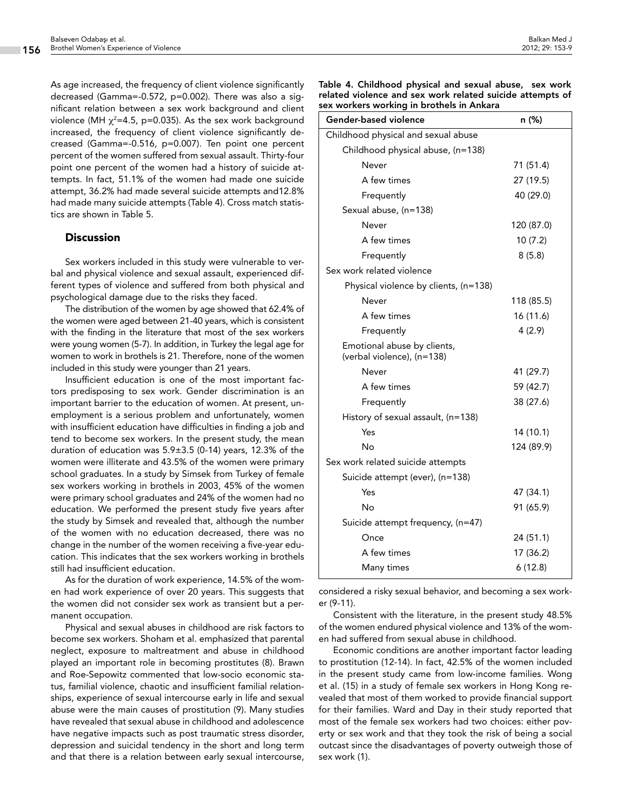As age increased, the frequency of client violence significantly decreased (Gamma=-0.572, p=0.002). There was also a significant relation between a sex work background and client violence (MH  $\chi^2$ =4.5, p=0.035). As the sex work background increased, the frequency of client violence significantly decreased (Gamma=-0.516, p=0.007). Ten point one percent percent of the women suffered from sexual assault. Thirty-four point one percent of the women had a history of suicide attempts. In fact, 51.1% of the women had made one suicide attempt, 36.2% had made several suicide attempts and12.8% had made many suicide attempts (Table 4). Cross match statistics are shown in Table 5.

# **Discussion**

Sex workers included in this study were vulnerable to verbal and physical violence and sexual assault, experienced different types of violence and suffered from both physical and psychological damage due to the risks they faced.

The distribution of the women by age showed that 62.4% of the women were aged between 21-40 years, which is consistent with the finding in the literature that most of the sex workers were young women (5-7). In addition, in Turkey the legal age for women to work in brothels is 21. Therefore, none of the women included in this study were younger than 21 years.

Insufficient education is one of the most important factors predisposing to sex work. Gender discrimination is an important barrier to the education of women. At present, unemployment is a serious problem and unfortunately, women with insufficient education have difficulties in finding a job and tend to become sex workers. In the present study, the mean duration of education was 5.9±3.5 (0-14) years, 12.3% of the women were illiterate and 43.5% of the women were primary school graduates. In a study by Simsek from Turkey of female sex workers working in brothels in 2003, 45% of the women were primary school graduates and 24% of the women had no education. We performed the present study five years after the study by Simsek and revealed that, although the number of the women with no education decreased, there was no change in the number of the women receiving a five-year education. This indicates that the sex workers working in brothels still had insufficient education.

As for the duration of work experience, 14.5% of the women had work experience of over 20 years. This suggests that the women did not consider sex work as transient but a permanent occupation.

Physical and sexual abuses in childhood are risk factors to become sex workers. Shoham et al. emphasized that parental neglect, exposure to maltreatment and abuse in childhood played an important role in becoming prostitutes (8). Brawn and Roe-Sepowitz commented that low-socio economic status, familial violence, chaotic and insufficient familial relationships, experience of sexual intercourse early in life and sexual abuse were the main causes of prostitution (9). Many studies have revealed that sexual abuse in childhood and adolescence have negative impacts such as post traumatic stress disorder, depression and suicidal tendency in the short and long term and that there is a relation between early sexual intercourse,

| Gender-based violence                                     | n (%)      |
|-----------------------------------------------------------|------------|
| Childhood physical and sexual abuse                       |            |
| Childhood physical abuse, (n=138)                         |            |
| Never                                                     | 71 (51.4)  |
| A few times                                               | 27 (19.5)  |
| Frequently                                                | 40 (29.0)  |
| Sexual abuse, (n=138)                                     |            |
| Never                                                     | 120 (87.0) |
| A few times                                               | 10(7.2)    |
| Frequently                                                | 8(5.8)     |
| Sex work related violence                                 |            |
| Physical violence by clients, (n=138)                     |            |
| Never                                                     | 118 (85.5) |
| A few times                                               | 16 (11.6)  |
| Frequently                                                | 4(2.9)     |
| Emotional abuse by clients,<br>(verbal violence), (n=138) |            |
| Never                                                     | 41 (29.7)  |
| A few times                                               | 59 (42.7)  |
| Frequently                                                | 38 (27.6)  |
| History of sexual assault, (n=138)                        |            |
| Yes                                                       | 14 (10.1)  |
| No                                                        | 124 (89.9) |
| Sex work related suicide attempts                         |            |
| Suicide attempt (ever), (n=138)                           |            |
| Yes                                                       | 47 (34.1)  |
| No                                                        | 91 (65.9)  |
| Suicide attempt frequency, (n=47)                         |            |
| Once                                                      | 24 (51.1)  |
| A few times                                               | 17 (36.2)  |
| Many times                                                | 6(12.8)    |

Table 4. Childhood physical and sexual abuse, sex work related violence and sex work related suicide attempts of sex workers working in brothels in Ankara

considered a risky sexual behavior, and becoming a sex worker (9-11).

Consistent with the literature, in the present study 48.5% of the women endured physical violence and 13% of the women had suffered from sexual abuse in childhood.

Economic conditions are another important factor leading to prostitution (12-14). In fact, 42.5% of the women included in the present study came from low-income families. Wong et al. (15) in a study of female sex workers in Hong Kong revealed that most of them worked to provide financial support for their families. Ward and Day in their study reported that most of the female sex workers had two choices: either poverty or sex work and that they took the risk of being a social outcast since the disadvantages of poverty outweigh those of sex work (1).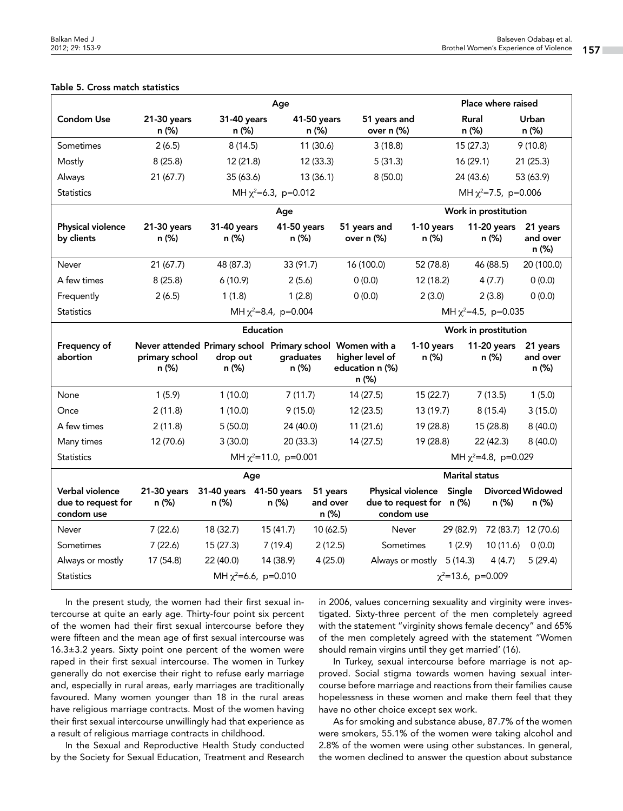| Age                                                 |                                                                                      |                                  |                      |                                                    |                                                             | Place where raised    |                           |                               |                                  |  |  |
|-----------------------------------------------------|--------------------------------------------------------------------------------------|----------------------------------|----------------------|----------------------------------------------------|-------------------------------------------------------------|-----------------------|---------------------------|-------------------------------|----------------------------------|--|--|
| <b>Condom Use</b>                                   | 21-30 years<br>n (%)                                                                 | 31-40 years<br>n (%)             |                      | 51 years and<br>41-50 years<br>over n (%)<br>n (%) |                                                             |                       | <b>Rural</b><br>n (%)     |                               | Urban<br>n (%)                   |  |  |
| Sometimes                                           | 2(6.5)                                                                               | 8(14.5)                          |                      | 11(30.6)                                           | 3(18.8)                                                     |                       | 15(27.3)                  |                               | 9(10.8)                          |  |  |
| Mostly                                              | 8(25.8)                                                                              | 12(21.8)                         |                      | 12(33.3)                                           | 5(31.3)                                                     |                       | 16(29.1)                  |                               | 21(25.3)                         |  |  |
| Always                                              | 21(67.7)                                                                             | 35 (63.6)                        |                      | 13(36.1)                                           | 8(50.0)                                                     |                       | 24 (43.6)                 |                               | 53 (63.9)                        |  |  |
| <b>Statistics</b>                                   | MH $\chi^2$ =6.3, p=0.012                                                            |                                  |                      |                                                    |                                                             |                       |                           | MH $\chi^2$ =7.5, p=0.006     |                                  |  |  |
|                                                     | Age                                                                                  |                                  |                      |                                                    |                                                             | Work in prostitution  |                           |                               |                                  |  |  |
| Physical violence<br>by clients                     | 21-30 years<br>n (%)                                                                 | 31-40 years<br>n (%)             | 41-50 years<br>n (%) |                                                    | 51 years and<br>over n (%)                                  | 1-10 years<br>n (%)   |                           | 11-20 years<br>n (%)          | 21 years<br>and over<br>n (%)    |  |  |
| Never                                               | 21(67.7)                                                                             | 48 (87.3)                        | 33 (91.7)            |                                                    | 16 (100.0)                                                  | 52 (78.8)             |                           | 46 (88.5)                     | 20 (100.0)                       |  |  |
| A few times                                         | 8(25.8)                                                                              | 6(10.9)                          | 2(5.6)               |                                                    | 0(0.0)                                                      | 12(18.2)              |                           | 4(7.7)                        | 0(0.0)                           |  |  |
| Frequently                                          | 2(6.5)                                                                               | 1(1.8)                           | 1(2.8)               |                                                    | 0(0.0)                                                      | 2(3.0)                |                           | 2(3.8)                        | 0(0.0)                           |  |  |
| <b>Statistics</b>                                   | MH $\chi^2$ =8.4, p=0.004                                                            |                                  |                      |                                                    |                                                             |                       | MH $\chi^2$ =4.5, p=0.035 |                               |                                  |  |  |
| <b>Education</b><br>Work in prostitution            |                                                                                      |                                  |                      |                                                    |                                                             |                       |                           |                               |                                  |  |  |
| Frequency of<br>abortion                            | Never attended Primary school Primary school Women with a<br>primary school<br>n (%) | drop out<br>n (%)                | graduates<br>n (%)   |                                                    | higher level of<br>education n (%)<br>n (%)                 | 1-10 years<br>n (%)   |                           | 11-20 years<br>n (%)          | 21 years<br>and over<br>n (%)    |  |  |
| None                                                | 1(5.9)                                                                               | 1(10.0)                          | 7(11.7)              |                                                    | 14(27.5)<br>15(22.7)                                        |                       | 7(13.5)                   |                               | 1(5.0)                           |  |  |
| Once                                                | 2(11.8)                                                                              | 1(10.0)<br>9(15.0)               |                      |                                                    | 12(23.5)                                                    | 13 (19.7)             | 8(15.4)                   |                               | 3(15.0)                          |  |  |
| A few times                                         | 2(11.8)                                                                              | 5(50.0)                          | 24 (40.0)            |                                                    | 11(21.6)                                                    | 19 (28.8)             |                           | 15 (28.8)                     | 8(40.0)                          |  |  |
| Many times                                          | 12 (70.6)                                                                            | 20(33.3)<br>3(30.0)              |                      |                                                    | 14(27.5)                                                    | 19 (28.8)             |                           | 22 (42.3)                     | 8(40.0)                          |  |  |
| <b>Statistics</b>                                   | MH $\chi^2$ =11.0, p=0.001<br>MH $\chi^2$ =4.8, p=0.029                              |                                  |                      |                                                    |                                                             |                       |                           |                               |                                  |  |  |
| Age                                                 |                                                                                      |                                  |                      |                                                    |                                                             | <b>Marital status</b> |                           |                               |                                  |  |  |
| Verbal violence<br>due to request for<br>condom use | 21-30 years<br>n (%)                                                                 | 31-40 years 41-50 years<br>n (%) | n (%)                | 51 years<br>and over<br>n (%)                      | Physical violence<br>due to request for n (%)<br>condom use |                       | Single                    | n (%)                         | <b>Divorced Widowed</b><br>n (%) |  |  |
| Never                                               | 7(22.6)                                                                              | 18 (32.7)                        | 15(41.7)             | 10(62.5)                                           | Never                                                       |                       |                           | 29 (82.9) 72 (83.7) 12 (70.6) |                                  |  |  |
| Sometimes                                           | 7(22.6)                                                                              | 15(27.3)                         | 7(19.4)              | 2(12.5)                                            | Sometimes                                                   |                       | 1(2.9)                    | 10 (11.6)                     | 0(0.0)                           |  |  |
| Always or mostly                                    | 17 (54.8)<br>22 (40.0)<br>14 (38.9)                                                  |                                  |                      |                                                    |                                                             |                       |                           |                               |                                  |  |  |
|                                                     |                                                                                      |                                  |                      | 4(25.0)                                            | Always or mostly 5 (14.3)                                   |                       |                           | 4(4.7)                        | 5(29.4)                          |  |  |

# Table 5. Cross match statistics

In the present study, the women had their first sexual intercourse at quite an early age. Thirty-four point six percent of the women had their first sexual intercourse before they were fifteen and the mean age of first sexual intercourse was 16.3±3.2 years. Sixty point one percent of the women were raped in their first sexual intercourse. The women in Turkey generally do not exercise their right to refuse early marriage and, especially in rural areas, early marriages are traditionally favoured. Many women younger than 18 in the rural areas have religious marriage contracts. Most of the women having their first sexual intercourse unwillingly had that experience as a result of religious marriage contracts in childhood.

In the Sexual and Reproductive Health Study conducted by the Society for Sexual Education, Treatment and Research

in 2006, values concerning sexuality and virginity were investigated. Sixty-three percent of the men completely agreed with the statement "virginity shows female decency" and 65% of the men completely agreed with the statement "Women should remain virgins until they get married' (16).

In Turkey, sexual intercourse before marriage is not approved. Social stigma towards women having sexual intercourse before marriage and reactions from their families cause hopelessness in these women and make them feel that they have no other choice except sex work.

As for smoking and substance abuse, 87.7% of the women were smokers, 55.1% of the women were taking alcohol and 2.8% of the women were using other substances. In general, the women declined to answer the question about substance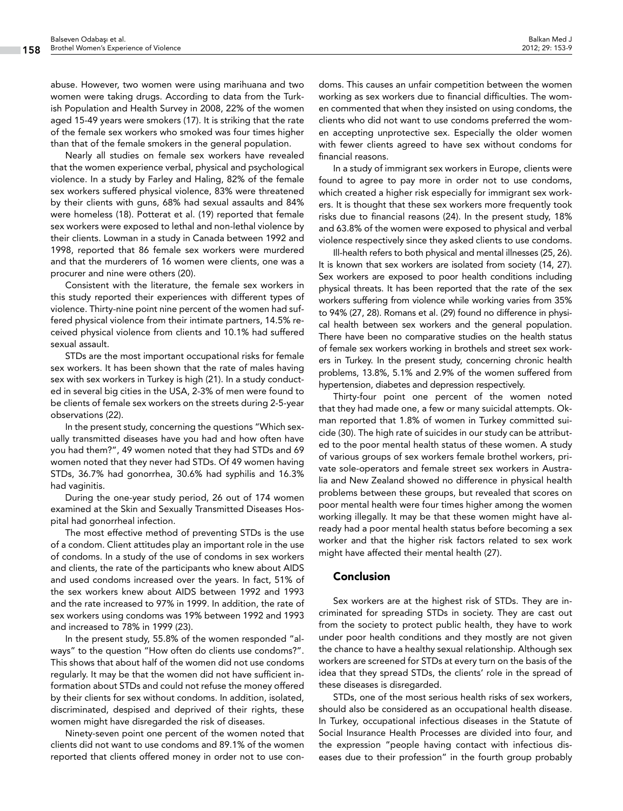abuse. However, two women were using marihuana and two women were taking drugs. According to data from the Turkish Population and Health Survey in 2008, 22% of the women aged 15-49 years were smokers (17). It is striking that the rate of the female sex workers who smoked was four times higher than that of the female smokers in the general population.

Nearly all studies on female sex workers have revealed that the women experience verbal, physical and psychological violence. In a study by Farley and Haling, 82% of the female sex workers suffered physical violence, 83% were threatened by their clients with guns, 68% had sexual assaults and 84% were homeless (18). Potterat et al. (19) reported that female sex workers were exposed to lethal and non-lethal violence by their clients. Lowman in a study in Canada between 1992 and 1998, reported that 86 female sex workers were murdered and that the murderers of 16 women were clients, one was a procurer and nine were others (20).

Consistent with the literature, the female sex workers in this study reported their experiences with different types of violence. Thirty-nine point nine percent of the women had suffered physical violence from their intimate partners, 14.5% received physical violence from clients and 10.1% had suffered sexual assault.

STDs are the most important occupational risks for female sex workers. It has been shown that the rate of males having sex with sex workers in Turkey is high (21). In a study conducted in several big cities in the USA, 2-3% of men were found to be clients of female sex workers on the streets during 2-5-year observations (22).

In the present study, concerning the questions "Which sexually transmitted diseases have you had and how often have you had them?", 49 women noted that they had STDs and 69 women noted that they never had STDs. Of 49 women having STDs, 36.7% had gonorrhea, 30.6% had syphilis and 16.3% had vaginitis.

During the one-year study period, 26 out of 174 women examined at the Skin and Sexually Transmitted Diseases Hospital had gonorrheal infection.

The most effective method of preventing STDs is the use of a condom. Client attitudes play an important role in the use of condoms. In a study of the use of condoms in sex workers and clients, the rate of the participants who knew about AIDS and used condoms increased over the years. In fact, 51% of the sex workers knew about AIDS between 1992 and 1993 and the rate increased to 97% in 1999. In addition, the rate of sex workers using condoms was 19% between 1992 and 1993 and increased to 78% in 1999 (23).

In the present study, 55.8% of the women responded "always" to the question "How often do clients use condoms?". This shows that about half of the women did not use condoms regularly. It may be that the women did not have sufficient information about STDs and could not refuse the money offered by their clients for sex without condoms. In addition, isolated, discriminated, despised and deprived of their rights, these women might have disregarded the risk of diseases.

Ninety-seven point one percent of the women noted that clients did not want to use condoms and 89.1% of the women reported that clients offered money in order not to use con-

doms. This causes an unfair competition between the women working as sex workers due to financial difficulties. The women commented that when they insisted on using condoms, the clients who did not want to use condoms preferred the women accepting unprotective sex. Especially the older women with fewer clients agreed to have sex without condoms for financial reasons.

In a study of immigrant sex workers in Europe, clients were found to agree to pay more in order not to use condoms, which created a higher risk especially for immigrant sex workers. It is thought that these sex workers more frequently took risks due to financial reasons (24). In the present study, 18% and 63.8% of the women were exposed to physical and verbal violence respectively since they asked clients to use condoms.

Ill-health refers to both physical and mental illnesses (25, 26). It is known that sex workers are isolated from society (14, 27). Sex workers are exposed to poor health conditions including physical threats. It has been reported that the rate of the sex workers suffering from violence while working varies from 35% to 94% (27, 28). Romans et al. (29) found no difference in physical health between sex workers and the general population. There have been no comparative studies on the health status of female sex workers working in brothels and street sex workers in Turkey. In the present study, concerning chronic health problems, 13.8%, 5.1% and 2.9% of the women suffered from hypertension, diabetes and depression respectively.

Thirty-four point one percent of the women noted that they had made one, a few or many suicidal attempts. Okman reported that 1.8% of women in Turkey committed suicide (30). The high rate of suicides in our study can be attributed to the poor mental health status of these women. A study of various groups of sex workers female brothel workers, private sole-operators and female street sex workers in Australia and New Zealand showed no difference in physical health problems between these groups, but revealed that scores on poor mental health were four times higher among the women working illegally. It may be that these women might have already had a poor mental health status before becoming a sex worker and that the higher risk factors related to sex work might have affected their mental health (27).

# Conclusion

Sex workers are at the highest risk of STDs. They are incriminated for spreading STDs in society. They are cast out from the society to protect public health, they have to work under poor health conditions and they mostly are not given the chance to have a healthy sexual relationship. Although sex workers are screened for STDs at every turn on the basis of the idea that they spread STDs, the clients' role in the spread of these diseases is disregarded.

STDs, one of the most serious health risks of sex workers, should also be considered as an occupational health disease. In Turkey, occupational infectious diseases in the Statute of Social Insurance Health Processes are divided into four, and the expression "people having contact with infectious diseases due to their profession" in the fourth group probably